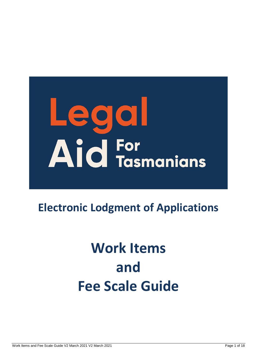# Legal AId For<br>AId Tasmanians

## **Electronic Lodgment of Applications**

## **Work Items and Fee Scale Guide**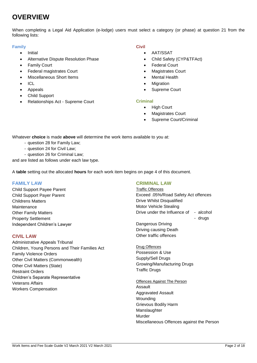#### **OVERVIEW**

When completing a Legal Aid Application (e-lodge) users must select a category (or phase) at question 21 from the following lists:

#### **Family**

- Initial
- Alternative Dispute Resolution Phase
- Family Court
- Federal magistrates Court
- Miscellaneous Short Items
- ICL
- Appeals
- Child Support
- Relationships Act Supreme Court

#### **Civil**

- AAT/SSAT
	- Child Safety (CYP&TFAct)
- Federal Court
- Magistrates Court
- Mental Health
- **Migration**
- Supreme Court

#### **Criminal**

- High Court
- Magistrates Court
- Supreme Court/Criminal

Whatever **choice** is made **above** will determine the work items available to you at:

- question 28 for Family Law;
- question 24 for Civil Law;
- question 26 for Criminal Law;

and are listed as follows under each law type.

A **table** setting out the allocated **hours** for each work item begins on page [4](#page-3-0) of this document.

#### **FAMILY LAW**

Child Support Payee Parent Child Support Payer Parent Childrens Matters **Maintenance** Other Family Matters Property Settlement Independent Children's Lawyer

#### **CIVIL LAW**

Administrative Appeals Tribunal Children, Young Persons and Their Families Act Family Violence Orders Other Civil Matters (Commonwealth) Other Civil Matters (State) Restraint Orders Children's Separate Representative Veterans Affairs Workers Compensation

#### **CRIMINAL LAW**

Traffic Offences Exceed .05%/Road Safety Act offences Drive Whilst Disqualified Motor Vehicle Stealing Drive under the Influence of - alcohol - drugs

Dangerous Driving Driving causing Death Other traffic offences

Drug Offences Possession & Use Supply/Sell Drugs Growing/Manufacturing Drugs Traffic Drugs

Offences Against The Person Assault Aggravated Assault Wounding Grievous Bodily Harm Manslaughter Murder Miscellaneous Offences against the Person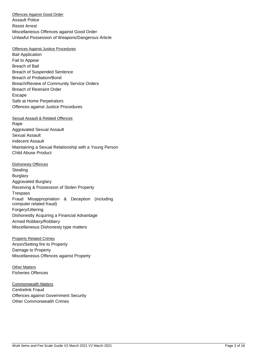Offences Against Good Order Assault Police Resist Arrest Miscellaneous Offences against Good Order Unlawful Possession of Weapons/Dangerous Article

#### Offences Against Justice Procedures

Bail Application Fail to Appear Breach of Bail Breach of Suspended Sentence Breach of Probation/Bond Breach/Review of Community Service Orders Breach of Restraint Order Escape Safe at Home Perpetrators Offences against Justice Procedures

#### Sexual Assault & Related Offences

Rape Aggravated Sexual Assault Sexual Assault Indecent Assault Maintaining a Sexual Relationship with a Young Person Child Abuse Product

Dishonesty Offences **Stealing Burglary** Aggravated Burglary Receiving & Possession of Stolen Property Trespass Fraud Misappropriation & Deception (including computer related fraud) Forgery/Uttering Dishonestly Acquiring a Financial Advantage Armed Robbery/Robbery Miscellaneous Dishonesty type matters

Property Related Crimes Arson/Setting fire to Property Damage to Property Miscellaneous Offences against Property

Other Matters Fisheries Offences

Commonwealth Matters Centrelink Fraud Offences against Government Security Other Commonwealth Crimes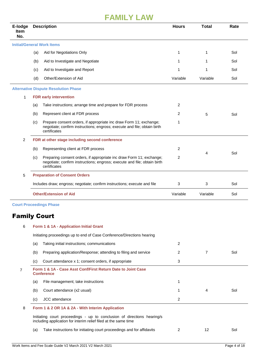<span id="page-3-0"></span>

| E-lodge<br><b>Item</b><br>No. |     | <b>Description</b>                                                                                                                                               | <b>Hours</b>   | <b>Total</b> | Rate |
|-------------------------------|-----|------------------------------------------------------------------------------------------------------------------------------------------------------------------|----------------|--------------|------|
|                               |     | <b>Initial/General Work Items</b>                                                                                                                                |                |              |      |
|                               | (a) | Aid for Negotiations Only                                                                                                                                        | 1              | 1            | Sol  |
|                               | (b) | Aid to Investigate and Negotiate                                                                                                                                 | 1              | 1            | Sol  |
|                               | (c) | Aid to Investigate and Report                                                                                                                                    | 1              |              | Sol  |
|                               | (d) | Other/Extension of Aid                                                                                                                                           | Variable       | Variable     | Sol  |
|                               |     | <b>Alternative Dispute Resolution Phase</b>                                                                                                                      |                |              |      |
| 1                             |     | <b>FDR early intervention</b>                                                                                                                                    |                |              |      |
|                               | (a) | Take instructions; arrange time and prepare for FDR process                                                                                                      | 2              |              |      |
|                               | (b) | Represent client at FDR process                                                                                                                                  | 2              | 5            | Sol  |
|                               | (c) | Prepare consent orders, if appropriate inc draw Form 11; exchange;<br>negotiate; confirm instructions; engross; execute and file; obtain birth<br>certificates   | 1              |              |      |
| $\overline{2}$                |     | FDR at other stage including second conference                                                                                                                   |                |              |      |
|                               | (b) | Representing client at FDR process                                                                                                                               | 2              |              |      |
|                               | (c) | Preparing consent orders, if appropriate inc draw Form 11; exchange;<br>negotiate; confirm instructions; engross; execute and file; obtain birth<br>certificates | 2              | 4            | Sol  |
| 5                             |     | <b>Preparation of Consent Orders</b>                                                                                                                             |                |              |      |
|                               |     | Includes draw; engross; negotiate; confirm instructions; execute and file                                                                                        | 3              | 3            | Sol  |
|                               |     | <b>Other/Extension of Aid</b>                                                                                                                                    | Variable       | Variable     | Sol  |
|                               |     |                                                                                                                                                                  |                |              |      |
|                               |     | <b>Court Proceedings Phase</b>                                                                                                                                   |                |              |      |
|                               |     |                                                                                                                                                                  |                |              |      |
| 6                             |     | Form 1 & 1A - Application Initial Grant                                                                                                                          |                |              |      |
|                               |     | Initiating proceedings up to end of Case Conference/Directions hearing                                                                                           |                |              |      |
|                               | (a) | Taking initial instructions; communications                                                                                                                      | 2              |              |      |
|                               | (b) | Preparing application/Response; attending to filing and service                                                                                                  | 2              | 7            | Sol  |
|                               | (c) | Court attendance x 1; consent orders, if appropriate                                                                                                             | 3              |              |      |
| 7                             |     | Form 1 & 1A - Case Asst Conf/First Return Date to Joint Case<br><b>Conference</b>                                                                                |                |              |      |
|                               | (a) | File management; take instructions                                                                                                                               | 1              |              |      |
|                               | (b) | Court attendance (x2 usual)                                                                                                                                      | 1              | 4            | Sol  |
|                               | (c) | JCC attendance                                                                                                                                                   | $\overline{2}$ |              |      |
| 8                             |     | Form 1 & 2 OR 1A & 2A - With Interim Application                                                                                                                 |                |              |      |
|                               |     | Initiating court proceedings - up to conclusion of directions hearing/s<br>including application for interim relief filed at the same time                       |                |              |      |
| <b>Family Court</b>           | (a) | Take instructions for initiating court proceedings and for affidavits                                                                                            | $\overline{2}$ | 12           | Sol  |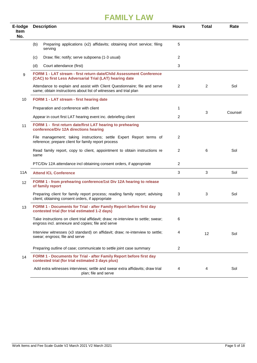| E-lodge<br><b>Item</b><br>No. | <b>Description</b>                                                                                                                             | <b>Hours</b>   | <b>Total</b> | Rate    |
|-------------------------------|------------------------------------------------------------------------------------------------------------------------------------------------|----------------|--------------|---------|
|                               | (b)<br>Preparing applications (x2) affidavits; obtaining short service; filing<br>serving                                                      | 5              |              |         |
|                               | Draw; file; notify; serve subpoena (1-3 usual)<br>(c)                                                                                          | 2              |              |         |
|                               | (d)<br>Court attendance (first)                                                                                                                | 3              |              |         |
| 9                             | FORM 1 - LAT stream - first return date/Child Assessment Conference<br>(CAC) to first Less Adversarial Trial (LAT) hearing date                |                |              |         |
|                               | Attendance to explain and assist with Client Questionnaire; file and serve<br>same; obtain instructions about list of witnesses and trial plan | 2              | 2            | Sol     |
| 10                            | FORM 1 - LAT stream - first hearing date                                                                                                       |                |              |         |
|                               | Preparation and conference with client                                                                                                         | 1              | 3            | Counsel |
|                               | Appear in court first LAT hearing event inc. debriefing client                                                                                 | $\overline{2}$ |              |         |
| 11                            | FORM 1 - first return date/first LAT hearing to prehearing<br>conference/Div 12A directions hearing                                            |                |              |         |
|                               | File management; taking instructions; settle Expert Report terms of<br>reference; prepare client for family report process                     | 2              |              |         |
|                               | Read family report, copy to client, appointment to obtain instructions re<br>same                                                              | $\overline{2}$ | 6            | Sol     |
|                               | PTC/Div 12A attendance incl obtaining consent orders, if appropriate                                                                           | 2              |              |         |
| 11A                           | <b>Attend ICL Conference</b>                                                                                                                   | 3              | 3            | Sol     |
| 12                            | FORM 1 - from prehearing conference/1st Div 12A hearing to release<br>of family report                                                         |                |              |         |
|                               | Preparing client for family report process; reading family report; advising<br>client; obtaining consent orders, if appropriate                | 3              | 3            | Sol     |
| 13                            | FORM 1 - Documents for Trial - after Family Report before first day<br>contested trial (for trial estimated 1-2 days)                          |                |              |         |
|                               | Take instructions on client trial affidavit; draw; re-interview to settle; swear;<br>engross incl. annexure and copies; file and serve         | 6              |              |         |
|                               | Interview witnesses (x3 standard) on affidavit; draw; re-interview to settle;<br>swear; engross; file and serve                                | 4              | 12           | Sol     |
|                               | Preparing outline of case; communicate to settle joint case summary                                                                            | $\overline{2}$ |              |         |
| 14                            | FORM 1 - Documents for Trial - after Family Report before first day<br>contested trial (for trial estimated 3 days plus)                       |                |              |         |
|                               | Add extra witnesses interviews; settle and swear extra affidavits; draw trial<br>plan; file and serve                                          | 4              | 4            | Sol     |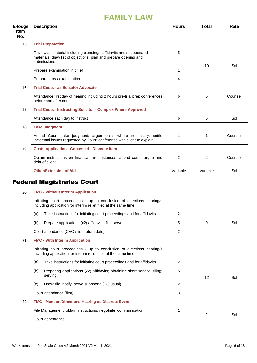| E-lodge<br><b>Item</b><br>No. | <b>Description</b>                                                                                                                                    | <b>Hours</b> | <b>Total</b> | Rate    |
|-------------------------------|-------------------------------------------------------------------------------------------------------------------------------------------------------|--------------|--------------|---------|
| 15                            | <b>Trial Preparation</b>                                                                                                                              |              |              |         |
|                               | Review all material including pleadings; affidavits and subpoenaed<br>materials; draw list of objections; plan and prepare opening and<br>submissions | 5            |              |         |
|                               | Prepare examination in chief                                                                                                                          | 1            | 10           | Sol     |
|                               | Prepare cross-examination                                                                                                                             | 4            |              |         |
| 16                            | <b>Trial Costs - as Solicitor Advocate</b>                                                                                                            |              |              |         |
|                               | Attendance first day of hearing including 2 hours pre-trial prep conferences<br>before and after court                                                | 6            | 6            | Counsel |
| 17                            | <b>Trial Costs - Instructing Solicitor - Complex Where Approved</b>                                                                                   |              |              |         |
|                               | Attendance each day to instruct                                                                                                                       | 6            | 6            | Sol     |
| 18                            | <b>Take Judgment</b>                                                                                                                                  |              |              |         |
|                               | Attend Court; take judgment; argue costs where necessary; settle<br>incidental issues requested by Court; conference with client to explain           | 1            | 1            | Counsel |
| 19                            | <b>Costs Application - Contested - Discrete Item</b>                                                                                                  |              |              |         |
|                               | Obtain instructions on financial circumstances; attend court; argue and<br>debrief client                                                             | 2            | 2            | Counsel |
|                               | <b>Other/Extension of Aid</b>                                                                                                                         | Variable     | Variable     | Sol     |
|                               | <b>Federal Magistrates Court</b>                                                                                                                      |              |              |         |
| 20                            | <b>FMC - Without Interim Application</b>                                                                                                              |              |              |         |
|                               | Initiating court proceedings - up to conclusion of directions hearing/s<br>including application for interim relief filed at the same time            |              |              |         |
|                               | Take instructions for initiating court proceedings and for affidavits<br>(a)                                                                          | 2            |              |         |
|                               | Prepare applications (x2) affidavits; file; serve<br>(b)                                                                                              | 5            | 9            | Sol     |
|                               | Court attendance (CAC / first return date)                                                                                                            | 2            |              |         |
| 21                            | <b>FMC - With Interim Application</b>                                                                                                                 |              |              |         |
|                               | Initiating court proceedings - up to conclusion of directions hearing/s<br>including application for interim relief filed at the same time            |              |              |         |
|                               | Take instructions for initiating court proceedings and for affidavits<br>(a)                                                                          | 2            |              |         |
|                               | Preparing applications (x2) affidavits; obtaining short service; filing;<br>(b)<br>serving                                                            | 5            | 12           | Sol     |
|                               | Draw; file; notify; serve subpoena (1-3 usual)<br>(c)                                                                                                 | 2            |              |         |
|                               | Court attendance (first)                                                                                                                              | 3            |              |         |
| 22                            | <b>FMC - Mention/Directions Hearing as Discrete Event</b>                                                                                             |              |              |         |
|                               | File Management; obtain instructions; negotiate; communication                                                                                        | 1            |              |         |
|                               | Court appearance                                                                                                                                      | 1            | 2            | Sol     |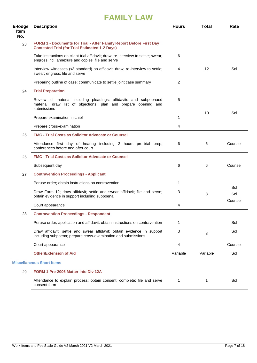| E-lodge<br><b>Item</b> | <b>Description</b>                                                                                                                                   | <b>Hours</b> | <b>Total</b> | Rate    |
|------------------------|------------------------------------------------------------------------------------------------------------------------------------------------------|--------------|--------------|---------|
| No.                    |                                                                                                                                                      |              |              |         |
| 23                     | FORM 1 - Documents for Trial - After Family Report Before First Day<br><b>Contested Trial (for Trial Estimated 1-2 Days)</b>                         |              |              |         |
|                        | Take instructions on client trial affidavit; draw; re-interview to settle; swear;<br>engross incl. annexure and copies; file and serve               | 6            |              |         |
|                        | Interview witnesses (x3 standard) on affidavit; draw; re-interview to settle;<br>swear; engross; file and serve                                      | 4            | 12           | Sol     |
|                        | Preparing outline of case; communicate to settle joint case summary                                                                                  | 2            |              |         |
| 24                     | <b>Trial Preparation</b>                                                                                                                             |              |              |         |
|                        | Review all material including pleadings; affidavits and subpoenaed<br>material; draw list of objections; plan and prepare opening and<br>submissions | 5            |              |         |
|                        | Prepare examination in chief                                                                                                                         | 1            | 10           | Sol     |
|                        | Prepare cross-examination                                                                                                                            | 4            |              |         |
| 25                     | <b>FMC - Trial Costs as Solicitor Advocate or Counsel</b>                                                                                            |              |              |         |
|                        | Attendance first day of hearing including 2 hours pre-trial prep;<br>conferences before and after court                                              | 6            | 6            | Counsel |
| 26                     | <b>FMC - Trial Costs as Solicitor Advocate or Counsel</b>                                                                                            |              |              |         |
|                        | Subsequent day                                                                                                                                       | 6            | 6            | Counsel |
| 27                     | <b>Contravention Proceedings - Applicant</b>                                                                                                         |              |              |         |
|                        | Peruse order; obtain instructions on contravention                                                                                                   | 1            |              | Sol     |
|                        | Draw Form 12; draw affidavit; settle and swear affidavit; file and serve;<br>obtain evidence in support including subpoena                           | 3            | 8            | Sol     |
|                        | Court appearance                                                                                                                                     | 4            |              | Counsel |
| 28                     | <b>Contravention Proceedings - Respondent</b>                                                                                                        |              |              |         |
|                        | Peruse order, application and affidavit; obtain instructions on contravention                                                                        | 1            |              | Sol     |
|                        | Draw affidavit; settle and swear affidavit; obtain evidence in support<br>including subpoena; prepare cross-examination and submissions              | 3            | 8            | Sol     |
|                        | Court appearance                                                                                                                                     | 4            |              | Counsel |
|                        | <b>Other/Extension of Aid</b>                                                                                                                        | Variable     | Variable     | Sol     |
|                        | <b>Miscellaneous Short Items</b>                                                                                                                     |              |              |         |
| 29                     | FORM 1 Pre-2006 Matter Into Div 12A                                                                                                                  |              |              |         |
|                        | Attendance to explain process; obtain consent; complete; file and serve                                                                              | 1            | $\mathbf{1}$ | Sol     |

consent form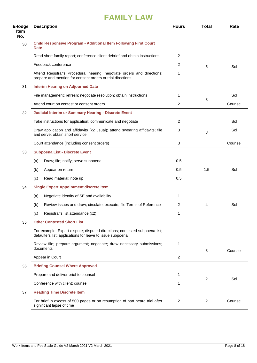| E-lodge<br><b>Item</b><br>No. | <b>Description</b>                                                                                                                      | <b>Hours</b>   | <b>Total</b> | Rate    |
|-------------------------------|-----------------------------------------------------------------------------------------------------------------------------------------|----------------|--------------|---------|
| 30                            | <b>Child Responsive Program - Additional Item Following First Court</b><br><b>Date</b>                                                  |                |              |         |
|                               | Read short family report; conference client debrief and obtain instructions                                                             | 2              |              |         |
|                               | Feedback conference                                                                                                                     | 2              | 5            | Sol     |
|                               | Attend Registrar's Procedural hearing; negotiate orders and directions;<br>prepare and mention for consent orders or trial directions   | 1              |              |         |
| 31                            | <b>Interim Hearing on Adjourned Date</b>                                                                                                |                |              |         |
|                               | File management; refresh; negotiate resolution; obtain instructions                                                                     | 1              |              | Sol     |
|                               | Attend court on contest or consent orders                                                                                               | $\overline{2}$ | 3            | Counsel |
| 32                            | <b>Judicial Interim or Summary Hearing - Discrete Event</b>                                                                             |                |              |         |
|                               | Take instructions for application; communicate and negotiate                                                                            | 2              |              | Sol     |
|                               | Draw application and affidavits (x2 usual); attend swearing affidavits; file<br>and serve; obtain short service                         | 3              | 8            | Sol     |
|                               | Court attendance (including consent orders)                                                                                             | 3              |              | Counsel |
| 33                            | <b>Subpoena List - Discrete Event</b>                                                                                                   |                |              |         |
|                               | Draw; file; notify; serve subpoena<br>(a)                                                                                               | 0.5            |              |         |
|                               | (b)<br>Appear on return                                                                                                                 | 0.5            | 1.5          | Sol     |
|                               | Read material; note up<br>(c)                                                                                                           | 0.5            |              |         |
| 34                            | <b>Single Expert Appointment discrete item</b>                                                                                          |                |              |         |
|                               | Negotiate identity of SE and availability<br>(a)                                                                                        | 1              |              |         |
|                               | Review issues and draw; circulate; execute; file Terms of Reference<br>(b)                                                              | 2              | 4            | Sol     |
|                               | Registrar's list attendance (x2)<br>(c)                                                                                                 | 1              |              |         |
| 35                            | <b>Other Contested Short List</b>                                                                                                       |                |              |         |
|                               | For example: Expert dispute; disputed directions; contested subpoena list;<br>defaulters list; applications for leave to issue subpoena |                |              |         |
|                               | Review file; prepare argument; negotiate; draw necessary submissions;<br>documents                                                      | 1              | 3            | Counsel |
|                               | Appear in Court                                                                                                                         | $\overline{2}$ |              |         |
| 36                            | <b>Briefing Counsel Where Approved</b>                                                                                                  |                |              |         |
|                               | Prepare and deliver brief to counsel                                                                                                    | 1              | 2            | Sol     |
|                               | Conference with client; counsel                                                                                                         | 1              |              |         |
| 37                            | <b>Reading Time Discrete Item</b>                                                                                                       |                |              |         |
|                               | For brief in excess of 500 pages or on resumption of part heard trial after<br>significant lapse of time                                | 2              | 2            | Counsel |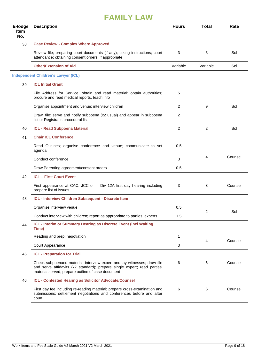| E-lodge<br><b>Item</b><br>No. | <b>Description</b>                                                                                                                                                                                        | <b>Hours</b>   | <b>Total</b>   | Rate    |
|-------------------------------|-----------------------------------------------------------------------------------------------------------------------------------------------------------------------------------------------------------|----------------|----------------|---------|
| 38                            | <b>Case Review - Complex Where Approved</b>                                                                                                                                                               |                |                |         |
|                               | Review file; preparing court documents (if any); taking instructions; court<br>attendance; obtaining consent orders, if appropriate                                                                       | 3              | 3              | Sol     |
|                               | <b>Other/Extension of Aid</b>                                                                                                                                                                             | Variable       | Variable       | Sol     |
|                               | <b>Independent Children's Lawyer (ICL)</b>                                                                                                                                                                |                |                |         |
| 39                            | <b>ICL Initial Grant</b>                                                                                                                                                                                  |                |                |         |
|                               | File Address for Service; obtain and read material; obtain authorities;<br>procure and read medical reports, teach info                                                                                   | 5              |                |         |
|                               | Organise appointment and venue; interview children                                                                                                                                                        | 2              | 9              | Sol     |
|                               | Draw; file; serve and notify subpoena (x2 usual) and appear in subpoena<br>list or Registrar's procedural list                                                                                            | 2              |                |         |
| 40                            | <b>ICL - Read Subpoena Material</b>                                                                                                                                                                       | $\overline{2}$ | $\overline{2}$ | Sol     |
| 41                            | <b>Chair ICL Conference</b>                                                                                                                                                                               |                |                |         |
|                               | Read Outlines; organise conference and venue; communicate to set<br>agenda                                                                                                                                | 0.5            |                |         |
|                               | Conduct conference                                                                                                                                                                                        | 3              | 4              | Counsel |
|                               | Draw Parenting agreement/consent orders                                                                                                                                                                   | 0.5            |                |         |
| 42                            | <b>ICL - First Court Event</b>                                                                                                                                                                            |                |                |         |
|                               | First appearance at CAC, JCC or in Div 12A first day hearing including<br>prepare list of issues                                                                                                          | 3              | 3              | Counsel |
| 43                            | ICL - Interview Children Subsequent - Discrete Item                                                                                                                                                       |                |                |         |
|                               | Organise interview venue                                                                                                                                                                                  | 0.5            |                |         |
|                               | Conduct interview with children; report as appropriate to parties, experts                                                                                                                                | 1.5            | 2              | Sol     |
| 44                            | ICL - Interim or Summary Hearing as Discrete Event (incl Waiting<br>Time)                                                                                                                                 |                |                |         |
|                               | Reading and prep; negotiation                                                                                                                                                                             | 1              | 4              | Counsel |
|                               | Court Appearance                                                                                                                                                                                          | 3              |                |         |
| 45                            | <b>ICL - Preparation for Trial</b>                                                                                                                                                                        |                |                |         |
|                               | Check subpoenaed material; interview expert and lay witnesses; draw file<br>and serve affidavits (x2 standard); prepare single expert; read parties'<br>material served; prepare outline of case document | 6              | 6              | Counsel |
| 46                            | ICL - Contested Hearing as Solicitor Advocate/Counsel                                                                                                                                                     |                |                |         |
|                               | First day fee including re-reading material; prepare cross-examination and<br>submissions; settlement negotiations and conferences before and after<br>court                                              | 6              | 6              | Counsel |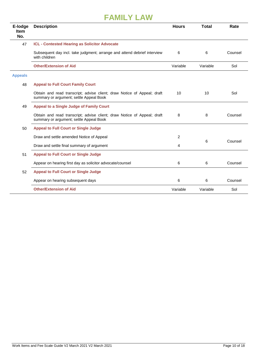| E-lodge<br><b>Item</b><br>No. | <b>Description</b>                                                                                                 | <b>Hours</b>   | <b>Total</b> | Rate    |
|-------------------------------|--------------------------------------------------------------------------------------------------------------------|----------------|--------------|---------|
| 47                            | ICL - Contested Hearing as Solicitor Advocate                                                                      |                |              |         |
|                               | Subsequent day incl. take judgment; arrange and attend debrief interview<br>with children                          | 6              | 6            | Counsel |
|                               | <b>Other/Extension of Aid</b>                                                                                      | Variable       | Variable     | Sol     |
| <b>Appeals</b>                |                                                                                                                    |                |              |         |
| 48                            | <b>Appeal to Full Court Family Court</b>                                                                           |                |              |         |
|                               | Obtain and read transcript; advise client; draw Notice of Appeal; draft<br>summary or argument; settle Appeal Book | 10             | 10           | Sol     |
| 49                            | <b>Appeal to a Single Judge of Family Court</b>                                                                    |                |              |         |
|                               | Obtain and read transcript; advise client; draw Notice of Appeal; draft<br>summary or argument; settle Appeal Book | 8              | 8            | Counsel |
| 50                            | <b>Appeal to Full Court or Single Judge</b>                                                                        |                |              |         |
|                               | Draw and settle amended Notice of Appeal                                                                           | $\overline{2}$ |              |         |
|                               | Draw and settle final summary of argument                                                                          | 4              | 6            | Counsel |
| 51                            | <b>Appeal to Full Court or Single Judge</b>                                                                        |                |              |         |
|                               | Appear on hearing first day as solicitor advocate/counsel                                                          | 6              | 6            | Counsel |
| 52                            | <b>Appeal to Full Court or Single Judge</b>                                                                        |                |              |         |
|                               | Appear on hearing subsequent days                                                                                  | 6              | 6            | Counsel |
|                               | <b>Other/Extension of Aid</b>                                                                                      | Variable       | Variable     | Sol     |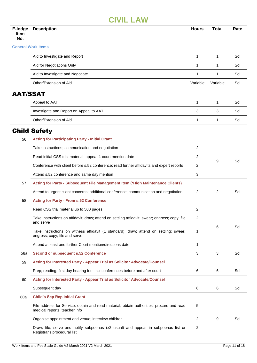| E-lodge<br><b>Item</b><br>No. | <b>Description</b>                                                                                                        | <b>Hours</b> | <b>Total</b> | Rate |
|-------------------------------|---------------------------------------------------------------------------------------------------------------------------|--------------|--------------|------|
|                               | <b>General Work Items</b>                                                                                                 |              |              |      |
|                               | Aid to Investigate and Report                                                                                             | $\mathbf{1}$ | 1            | Sol  |
|                               | Aid for Negotiations Only                                                                                                 | 1            | 1            | Sol  |
|                               | Aid to Investigate and Negotiate                                                                                          | 1            | 1            | Sol  |
|                               | Other/Extension of Aid                                                                                                    | Variable     | Variable     | Sol  |
| <b>AAT/SSAT</b>               |                                                                                                                           |              |              |      |
|                               | Appeal to AAT                                                                                                             | 1            | 1            | Sol  |
|                               | Investigate and Report on Appeal to AAT                                                                                   | 3            | 3            | Sol  |
|                               | Other/Extension of Aid                                                                                                    | 1            | 1            | Sol  |
|                               | <b>Child Safety</b>                                                                                                       |              |              |      |
| 56                            | <b>Acting for Participating Party - Initial Grant</b>                                                                     |              |              |      |
|                               | Take instructions; communication and negotiation                                                                          | 2            |              |      |
|                               | Read initial CSS trial material; appear 1 court mention date                                                              | 2            | 9            | Sol  |
|                               | Conference with client before s.52 conference; read further affidavits and expert reports                                 | 2            |              |      |
|                               | Attend s.52 conference and same day mention                                                                               | 3            |              |      |
| 57                            | Acting for Party - Subsequent File Management Item (*High Maintenance Clients)                                            |              |              |      |
|                               | Attend to urgent client concerns; additional conference; communication and negotiation                                    | 2            | 2            | Sol  |
| 58                            | <b>Acting for Party - From s.52 Conference</b>                                                                            |              |              |      |
|                               | Read CSS trial material up to 500 pages                                                                                   | 2            |              |      |
|                               | Take instructions on affidavit; draw; attend on settling affidavit; swear; engross; copy; file<br>and serve               | 2            | 6            | Sol  |
|                               | Take instructions on witness affidavit (1 standard); draw; attend on settling; swear;<br>engross; copy; file and serve    | 1            |              |      |
|                               | Attend at least one further Court mention/directions date                                                                 | $\mathbf{1}$ |              |      |
| 58a                           | <b>Second or subsequent s.52 Conference</b>                                                                               | 3            | 3            | Sol  |
| 59                            | Acting for Interested Party - Appear Trial as Solicitor Advocate/Counsel                                                  |              |              |      |
|                               | Prep; reading; first day hearing fee; incl conferences before and after court                                             | 6            | 6            | Sol  |
| 60                            | Acting for Interested Party - Appear Trial as Solicitor Advocate/Counsel                                                  |              |              |      |
|                               | Subsequent day                                                                                                            | 6            | 6            | Sol  |
| 60a                           | <b>Child's Sep Rep Initial Grant</b>                                                                                      |              |              |      |
|                               | File address for Service; obtain and read material; obtain authorities; procure and read<br>medical reports; teacher info | 5            |              |      |
|                               | Organise appointment and venue; interview children                                                                        | 2            | 9            | Sol  |
|                               | Draw; file; serve and notify subpoenas (x2 usual) and appear in subpoenas list or<br>Registrar's procedural list          | 2            |              |      |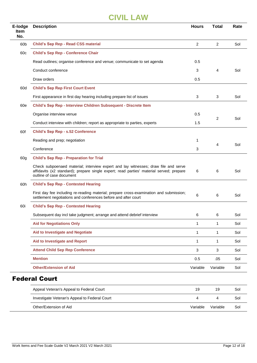| E-lodge<br><b>Item</b><br>No. | <b>Description</b>                                                                                                                                                                                        | <b>Hours</b>   | <b>Total</b>   | Rate |
|-------------------------------|-----------------------------------------------------------------------------------------------------------------------------------------------------------------------------------------------------------|----------------|----------------|------|
| 60 <sub>b</sub>               | <b>Child's Sep Rep - Read CSS material</b>                                                                                                                                                                | $\overline{c}$ | $\overline{2}$ | Sol  |
| 60 <sub>c</sub>               | <b>Child's Sep Rep - Conference Chair</b>                                                                                                                                                                 |                |                |      |
|                               | Read outlines; organise conference and venue; communicate to set agenda                                                                                                                                   | 0.5            |                |      |
|                               | Conduct conference                                                                                                                                                                                        | 3              | 4              | Sol  |
|                               | Draw orders                                                                                                                                                                                               | 0.5            |                |      |
| 60d                           | <b>Child's Sep Rep First Court Event</b>                                                                                                                                                                  |                |                |      |
|                               | First appearance in first day hearing including prepare list of issues                                                                                                                                    | 3              | 3              | Sol  |
| 60e                           | Child's Sep Rep - Interview Children Subsequent - Discrete Item                                                                                                                                           |                |                |      |
|                               | Organise interview venue                                                                                                                                                                                  | 0.5            |                | Sol  |
|                               | Conduct interview with children; report as appropriate to parties, experts                                                                                                                                | 1.5            | 2              |      |
| 60f                           | <b>Child's Sep Rep - s.52 Conference</b>                                                                                                                                                                  |                |                |      |
|                               | Reading and prep; negotiation                                                                                                                                                                             | 1              | 4              | Sol  |
|                               | Conference                                                                                                                                                                                                | 3              |                |      |
| 60g                           | <b>Child's Sep Rep - Preparation for Trial</b>                                                                                                                                                            |                |                |      |
|                               | Check subpoenaed material; interview expert and lay witnesses; draw file and serve<br>affidavits (x2 standard); prepare single expert; read parties' material served; prepare<br>outline of case document | 6              | 6              | Sol  |
| 60h                           | <b>Child's Sep Rep - Contested Hearing</b>                                                                                                                                                                |                |                |      |
|                               | First day fee including re-reading material; prepare cross-examination and submission;<br>settlement negotiations and conferences before and after court                                                  | 6              | 6              | Sol  |
| 60i                           | <b>Child's Sep Rep - Contested Hearing</b>                                                                                                                                                                |                |                |      |
|                               | Subsequent day incl take judgment; arrange and attend debrief interview                                                                                                                                   | 6              | 6              | Sol  |
|                               | <b>Aid for Negotiations Only</b>                                                                                                                                                                          | 1              | 1              | Sol  |
|                               | <b>Aid to Investigate and Negotiate</b>                                                                                                                                                                   | 1              | $\mathbf{1}$   | Sol  |
|                               | <b>Aid to Investigate and Report</b>                                                                                                                                                                      | 1              | $\mathbf{1}$   | Sol  |
|                               | <b>Attend Child Sep Rep Conference</b>                                                                                                                                                                    | $\mathbf{3}$   | 3              | Sol  |
|                               | <b>Mention</b>                                                                                                                                                                                            | 0.5            | .05            | Sol  |
|                               | <b>Other/Extension of Aid</b>                                                                                                                                                                             | Variable       | Variable       | Sol  |
|                               | <b>Federal Court</b>                                                                                                                                                                                      |                |                |      |

| Appeal Veteran's Appeal to Federal Court      | 19       | 19       | Sol |
|-----------------------------------------------|----------|----------|-----|
| Investigate Veteran's Appeal to Federal Court |          |          | Sol |
| Other/Extension of Aid                        | Variable | Variable | Sol |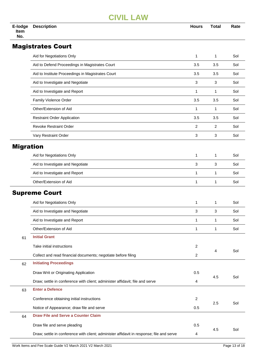| E-lodge<br><b>Item</b><br>No. | <b>Description</b>                                | <b>Hours</b> | Total | Rate |
|-------------------------------|---------------------------------------------------|--------------|-------|------|
|                               | <b>Magistrates Court</b>                          |              |       |      |
|                               | Aid for Negotiations Only                         | 1            | 1     | Sol  |
|                               | Aid to Defend Proceedings in Magistrates Court    | 3.5          | 3.5   | Sol  |
|                               | Aid to Institute Proceedings in Magistrates Court | 3.5          | 3.5   | Sol  |
|                               | Aid to Investigate and Negotiate                  | 3            | 3     | Sol  |
|                               | Aid to Investigate and Report                     | 1            | 1     | Sol  |

| Family Violence Order              | 3.5 | 3.5 | Sol |
|------------------------------------|-----|-----|-----|
| Other/Extension of Aid             |     |     | Sol |
| <b>Restraint Order Application</b> | 3.5 | 3.5 | Sol |
| <b>Revoke Restraint Order</b>      | 2   |     | Sol |
| Vary Restraint Order               | 3   | 3   | Sol |
|                                    |     |     |     |

#### Migration

| Aid for Negotiations Only        |  | Sol |
|----------------------------------|--|-----|
| Aid to Investigate and Negotiate |  | Sol |
| Aid to Investigate and Report    |  | Sol |
| Other/Extension of Aid           |  | Sol |

#### Supreme Court

|    | Aid for Negotiations Only                                                                | 1              | 1   | Sol |
|----|------------------------------------------------------------------------------------------|----------------|-----|-----|
|    | Aid to Investigate and Negotiate                                                         | 3              | 3   | Sol |
|    | Aid to Investigate and Report                                                            | 1              | 1   | Sol |
|    | Other/Extension of Aid                                                                   | 1              | 1   | Sol |
| 61 | <b>Initial Grant</b>                                                                     |                |     |     |
|    | Take initial instructions                                                                | 2              |     | Sol |
|    | Collect and read financial documents; negotiate before filing                            | 2              | 4   |     |
| 62 | <b>Initiating Proceedings</b>                                                            |                |     |     |
|    | Draw Writ or Originating Application                                                     | 0.5            |     | Sol |
|    | Draw; settle in conference with client; administer affidavit; file and serve             | 4              | 4.5 |     |
| 63 | <b>Enter a Defence</b>                                                                   |                |     |     |
|    | Conference obtaining initial instructions                                                | $\overline{2}$ |     | Sol |
|    | Notice of Appearance; draw file and serve                                                | 0.5            | 2.5 |     |
| 64 | <b>Draw File and Serve a Counter Claim</b>                                               |                |     |     |
|    | Draw file and serve pleading                                                             | 0.5            |     |     |
|    | Draw; settle in conference with client; administer affidavit in response; file and serve | 4              | 4.5 | Sol |
|    |                                                                                          |                |     |     |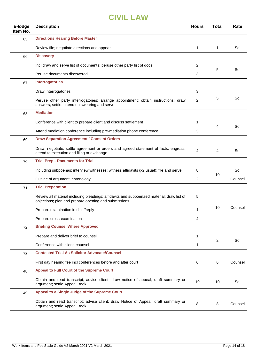| E-lodge<br>Item No. | <b>Description</b>                                                                                                                                | <b>Hours</b>   | <b>Total</b>   | Rate    |
|---------------------|---------------------------------------------------------------------------------------------------------------------------------------------------|----------------|----------------|---------|
| 65                  | <b>Directions Hearing Before Master</b>                                                                                                           |                |                |         |
|                     | Review file; negotiate directions and appear                                                                                                      | $\mathbf{1}$   | $\mathbf{1}$   | Sol     |
| 66                  | <b>Discovery</b>                                                                                                                                  |                |                |         |
|                     | Incl draw and serve list of documents; peruse other party list of docs                                                                            | 2              |                |         |
|                     | Peruse documents discovered                                                                                                                       | 3              | 5              | Sol     |
| 67                  | <b>Interrogatories</b>                                                                                                                            |                |                |         |
|                     | Draw Interrogatories                                                                                                                              | 3              |                |         |
|                     | Peruse other party interrogatories; arrange appointment; obtain instructions; draw<br>answers; settle; attend on swearing and serve               | $\overline{2}$ | 5              | Sol     |
| 68                  | <b>Mediation</b>                                                                                                                                  |                |                |         |
|                     | Conference with client to prepare client and discuss settlement                                                                                   | 1              |                |         |
|                     | Attend mediation conference including pre-mediation phone conference                                                                              | 3              | 4              | Sol     |
| 69                  | <b>Draw Separation Agreement / Consent Orders</b>                                                                                                 |                |                |         |
|                     | Draw; negotiate; settle agreement or orders and agreed statement of facts; engross;<br>attend to execution and filing or exchange                 | 4              | 4              | Sol     |
| 70                  | <b>Trial Prep - Documents for Trial</b>                                                                                                           |                |                |         |
|                     | Including subpoenas; interview witnesses; witness affidavits (x2 usual); file and serve                                                           | 8              |                | Sol     |
|                     | Outline of argument; chronology                                                                                                                   | $\overline{2}$ | 10             | Counsel |
| 71                  | <b>Trial Preparation</b>                                                                                                                          |                |                |         |
|                     | Review all material including pleadings; affidavits and subpoenaed material; draw list of<br>objections; plan and prepare opening and submissions | 5              |                |         |
|                     | Prepare examination in chief/reply                                                                                                                | 1              | 10             | Counsel |
|                     | Prepare cross-examination                                                                                                                         | 4              |                |         |
| 72                  | <b>Briefing Counsel Where Approved</b>                                                                                                            |                |                |         |
|                     | Prepare and deliver brief to counsel                                                                                                              | 1              |                |         |
|                     | Conference with client; counsel                                                                                                                   | 1              | $\overline{2}$ | Sol     |
| 73                  | <b>Contested Trial As Solicitor Advocate/Counsel</b>                                                                                              |                |                |         |
|                     | First day hearing fee incl conferences before and after court                                                                                     | 6              | 6              | Counsel |
| 48                  | <b>Appeal to Full Court of the Supreme Court</b>                                                                                                  |                |                |         |
|                     | Obtain and read transcript; advise client; draw notice of appeal; draft summary or<br>argument; settle Appeal Book                                | 10             | 10             | Sol     |
| 49                  | Appeal to a Single Judge of the Supreme Court                                                                                                     |                |                |         |
|                     | Obtain and read transcript; advise client; draw Notice of Appeal; draft summary or<br>argument; settle Appeal Book                                | 8              | 8              | Counsel |
|                     |                                                                                                                                                   |                |                |         |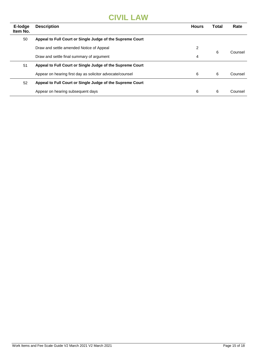| E-lodge<br>Item No. | <b>Description</b>                                        | <b>Hours</b> | Total | Rate    |
|---------------------|-----------------------------------------------------------|--------------|-------|---------|
| 50                  | Appeal to Full Court or Single Judge of the Supreme Court |              |       |         |
|                     | Draw and settle amended Notice of Appeal                  | 2            |       | Counsel |
|                     | Draw and settle final summary of argument                 | 4            | 6     |         |
| 51                  | Appeal to Full Court or Single Judge of the Supreme Court |              |       |         |
|                     | Appear on hearing first day as solicitor advocate/counsel | 6            | 6     | Counsel |
| 52                  | Appeal to Full Court or Single Judge of the Supreme Court |              |       |         |
|                     | Appear on hearing subsequent days                         | 6            | 6     | Counsel |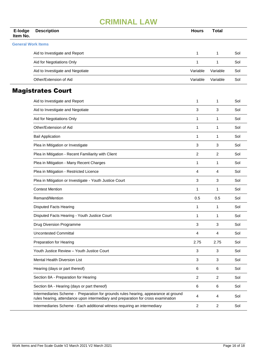## **CRIMINAL LAW**

| E-lodge<br>Item No.       | <b>Description</b>                                                                                                                                                       | <b>Hours</b>   | <b>Total</b>   |     |
|---------------------------|--------------------------------------------------------------------------------------------------------------------------------------------------------------------------|----------------|----------------|-----|
| <b>General Work Items</b> |                                                                                                                                                                          |                |                |     |
|                           | Aid to Investigate and Report                                                                                                                                            | 1              | 1              | Sol |
|                           | Aid for Negotiations Only                                                                                                                                                | 1              | 1              | Sol |
|                           | Aid to Investigate and Negotiate                                                                                                                                         | Variable       | Variable       | Sol |
|                           | Other/Extension of Aid                                                                                                                                                   | Variable       | Variable       | Sol |
|                           | <b>Magistrates Court</b>                                                                                                                                                 |                |                |     |
|                           | Aid to Investigate and Report                                                                                                                                            | 1              | 1              | Sol |
|                           | Aid to Investigate and Negotiate                                                                                                                                         | 3              | $\mathbf{3}$   | Sol |
|                           | Aid for Negotiations Only                                                                                                                                                | 1              | 1              | Sol |
|                           | Other/Extension of Aid                                                                                                                                                   | 1              | $\mathbf{1}$   | Sol |
|                           | <b>Bail Application</b>                                                                                                                                                  | 1              | 1              | Sol |
|                           | Plea in Mitigation or Investigate                                                                                                                                        | 3              | 3              | Sol |
|                           | Plea in Mitigation - Recent Familiarity with Client                                                                                                                      | 2              | $\overline{2}$ | Sol |
|                           | Plea in Mitigation - Many Recent Charges                                                                                                                                 | 1              | 1              | Sol |
|                           | Plea in Mitigation - Restricted Licence                                                                                                                                  | 4              | 4              | Sol |
|                           | Plea in Mitigation or Investigate - Youth Justice Court                                                                                                                  | 3              | 3              | Sol |
|                           | <b>Contest Mention</b>                                                                                                                                                   | 1              | 1              | Sol |
|                           | Remand/Mention                                                                                                                                                           | 0.5            | 0.5            | Sol |
|                           | <b>Disputed Facts Hearing</b>                                                                                                                                            | 1              | $\mathbf{1}$   | Sol |
|                           | Disputed Facts Hearing - Youth Justice Court                                                                                                                             | 1              | 1              | Sol |
|                           | Drug Diversion Programme                                                                                                                                                 | 3              | $\mathbf{3}$   | Sol |
|                           | <b>Uncontested Committal</b>                                                                                                                                             | 4              | 4              | Sol |
|                           | Preparation for Hearing                                                                                                                                                  | 2.75           | 2.75           | Sol |
|                           | Youth Justice Review - Youth Justice Court                                                                                                                               | 3              | 3              | Sol |
|                           | Mental Health Diversion List                                                                                                                                             | 3              | 3              | Sol |
|                           | Hearing (days or part thereof)                                                                                                                                           | 6              | 6              | Sol |
|                           | Section 8A - Preparation for Hearing                                                                                                                                     | $\overline{2}$ | $\overline{2}$ | Sol |
|                           | Section 8A - Hearing (days or part thereof)                                                                                                                              | 6              | 6              | Sol |
|                           | Intermediaries Scheme - Preparation for grounds rules hearing, appearance at ground<br>rules hearing, attendance upon intermediary and preparation for cross examination | 4              | 4              | Sol |
|                           | Intermediaries Scheme - Each additional witness requiring an intermediary                                                                                                | $\overline{2}$ | $\overline{2}$ | Sol |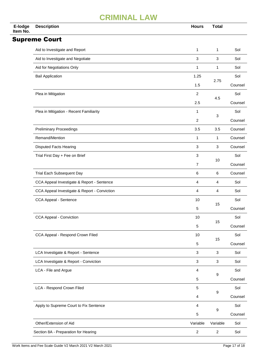## **CRIMINAL LAW**

| E-lodge<br>Item No. | <b>Description</b>                           | <b>Hours</b>   | <b>Total</b>     |         |
|---------------------|----------------------------------------------|----------------|------------------|---------|
|                     | <b>Supreme Court</b>                         |                |                  |         |
|                     | Aid to Investigate and Report                | 1              | 1                | Sol     |
|                     | Aid to Investigate and Negotiate             | 3              | 3                | Sol     |
|                     | Aid for Negotiations Only                    | 1              | 1                | Sol     |
|                     | <b>Bail Application</b>                      | 1.25           | 2.75             | Sol     |
|                     |                                              | 1.5            |                  | Counsel |
|                     | Plea in Mitigation                           | $\overline{2}$ | 4.5              | Sol     |
|                     |                                              | 2.5            |                  | Counsel |
|                     | Plea in Mitigation - Recent Familiarity      | 1              | 3                | Sol     |
|                     |                                              | $\overline{2}$ |                  | Counsel |
|                     | <b>Preliminary Proceedings</b>               | 3.5            | 3.5              | Counsel |
|                     | Remand/Mention                               | 1              | 1                | Counsel |
|                     | <b>Disputed Facts Hearing</b>                | 3              | 3                | Counsel |
|                     | Trial First Day + Fee on Brief               | 3              | 10               | Sol     |
|                     |                                              | 7              |                  | Counsel |
|                     | Trial Each Subsequent Day                    | 6              | 6                | Counsel |
|                     | CCA Appeal Investigate & Report - Sentence   | 4              | 4                | Sol     |
|                     | CCA Appeal Investigate & Report - Conviction | 4              | 4                | Sol     |
|                     | CCA Appeal - Sentence                        | 10             | 15               | Sol     |
|                     |                                              | 5              |                  | Counsel |
|                     | CCA Appeal - Conviction                      | 10             | 15               | Sol     |
|                     |                                              | 5              |                  | Counsel |
|                     | CCA Appeal - Respond Crown Filed             | 10             | 15               | Sol     |
|                     |                                              | $\sqrt{5}$     |                  | Counsel |
|                     | LCA Investigate & Report - Sentence          | $\mathbf{3}$   | 3                | Sol     |
|                     | LCA Investigate & Report - Conviction        | 3              | 3                | Sol     |
|                     | LCA - File and Argue                         | 4              | 9                | Sol     |
|                     |                                              | 5              |                  | Counsel |
|                     | LCA - Respond Crown Filed                    | $\,$ 5 $\,$    | 9                | Sol     |
|                     |                                              | 4              |                  | Counsel |
|                     | Apply to Supreme Court to Fix Sentence       | 4              | 9                | Sol     |
|                     |                                              | 5              |                  | Counsel |
|                     | Other/Extension of Aid                       | Variable       | Variable         | Sol     |
|                     | Section 8A - Preparation for Hearing         | $\overline{c}$ | $\boldsymbol{2}$ | Sol     |
|                     |                                              |                |                  |         |